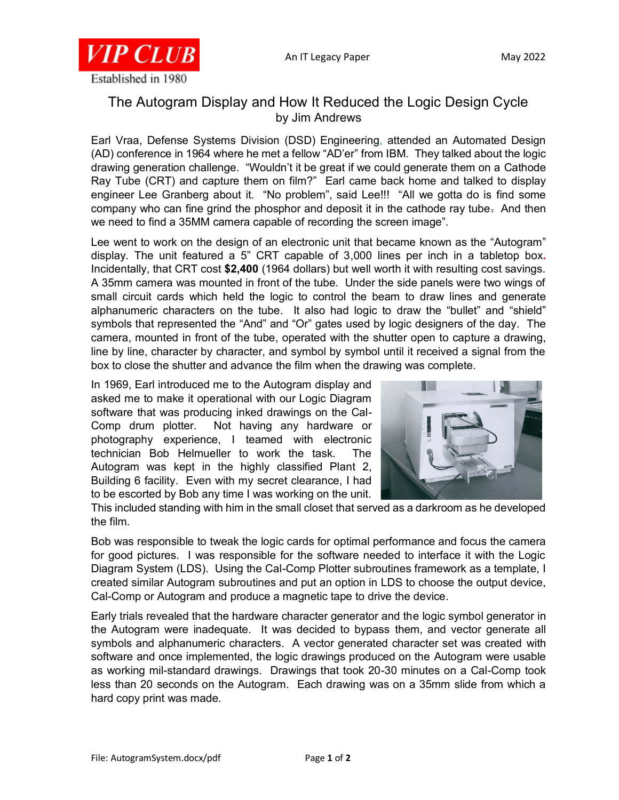

## The Autogram Display and How It Reduced the Logic Design Cycle by Jim Andrews

Earl Vraa, Defense Systems Division (DSD) Engineering, attended an Automated Design (AD) conference in 1964 where he met a fellow "AD'er" from IBM. They talked about the logic drawing generation challenge. "Wouldn't it be great if we could generate them on a Cathode Ray Tube (CRT) and capture them on film?" Earl came back home and talked to display engineer Lee Granberg about it. "No problem", said Lee!!! "All we gotta do is find some company who can fine grind the phosphor and deposit it in the cathode ray tube. And then we need to find a 35MM camera capable of recording the screen image".

Lee went to work on the design of an electronic unit that became known as the "Autogram" display. The unit featured a 5" CRT capable of 3,000 lines per inch in a tabletop box**.**  Incidentally, that CRT cost **\$2,400** (1964 dollars) but well worth it with resulting cost savings. A 35mm camera was mounted in front of the tube. Under the side panels were two wings of small circuit cards which held the logic to control the beam to draw lines and generate alphanumeric characters on the tube. It also had logic to draw the "bullet" and "shield" symbols that represented the "And" and "Or" gates used by logic designers of the day. The camera, mounted in front of the tube, operated with the shutter open to capture a drawing, line by line, character by character, and symbol by symbol until it received a signal from the box to close the shutter and advance the film when the drawing was complete.

In 1969, Earl introduced me to the Autogram display and asked me to make it operational with our Logic Diagram software that was producing inked drawings on the Cal-Comp drum plotter. Not having any hardware or photography experience, I teamed with electronic technician Bob Helmueller to work the task. The Autogram was kept in the highly classified Plant 2, Building 6 facility. Even with my secret clearance, I had to be escorted by Bob any time I was working on the unit.



This included standing with him in the small closet that served as a darkroom as he developed the film.

Bob was responsible to tweak the logic cards for optimal performance and focus the camera for good pictures. I was responsible for the software needed to interface it with the Logic Diagram System (LDS). Using the Cal-Comp Plotter subroutines framework as a template, I created similar Autogram subroutines and put an option in LDS to choose the output device, Cal-Comp or Autogram and produce a magnetic tape to drive the device.

Early trials revealed that the hardware character generator and the logic symbol generator in the Autogram were inadequate. It was decided to bypass them, and vector generate all symbols and alphanumeric characters. A vector generated character set was created with software and once implemented, the logic drawings produced on the Autogram were usable as working mil-standard drawings. Drawings that took 20-30 minutes on a Cal-Comp took less than 20 seconds on the Autogram. Each drawing was on a 35mm slide from which a hard copy print was made.